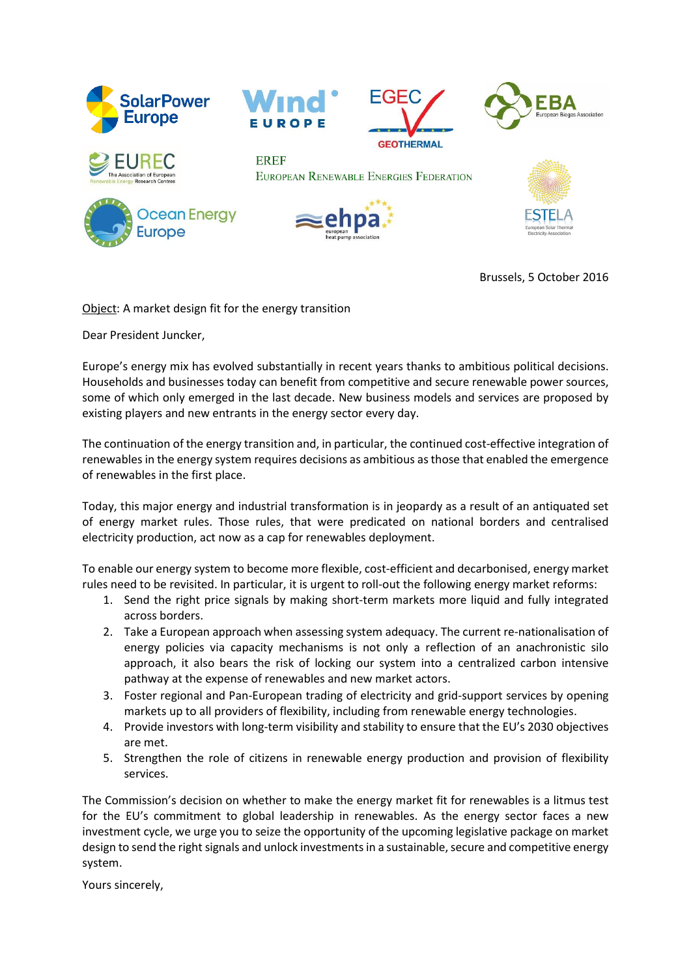

Brussels, 5 October 2016

Object: A market design fit for the energy transition

Dear President Juncker,

Europe's energy mix has evolved substantially in recent years thanks to ambitious political decisions. Households and businesses today can benefit from competitive and secure renewable power sources, some of which only emerged in the last decade. New business models and services are proposed by existing players and new entrants in the energy sector every day.

The continuation of the energy transition and, in particular, the continued cost-effective integration of renewables in the energy system requires decisions as ambitious as those that enabled the emergence of renewables in the first place.

Today, this major energy and industrial transformation is in jeopardy as a result of an antiquated set of energy market rules. Those rules, that were predicated on national borders and centralised electricity production, act now as a cap for renewables deployment.

To enable our energy system to become more flexible, cost-efficient and decarbonised, energy market rules need to be revisited. In particular, it is urgent to roll-out the following energy market reforms:

- 1. Send the right price signals by making short-term markets more liquid and fully integrated across borders.
- 2. Take a European approach when assessing system adequacy. The current re-nationalisation of energy policies via capacity mechanisms is not only a reflection of an anachronistic silo approach, it also bears the risk of locking our system into a centralized carbon intensive pathway at the expense of renewables and new market actors.
- 3. Foster regional and Pan-European trading of electricity and grid-support services by opening markets up to all providers of flexibility, including from renewable energy technologies.
- 4. Provide investors with long-term visibility and stability to ensure that the EU's 2030 objectives are met.
- 5. Strengthen the role of citizens in renewable energy production and provision of flexibility services.

The Commission's decision on whether to make the energy market fit for renewables is a litmus test for the EU's commitment to global leadership in renewables. As the energy sector faces a new investment cycle, we urge you to seize the opportunity of the upcoming legislative package on market design to send the right signals and unlock investments in a sustainable, secure and competitive energy system.

Yours sincerely,